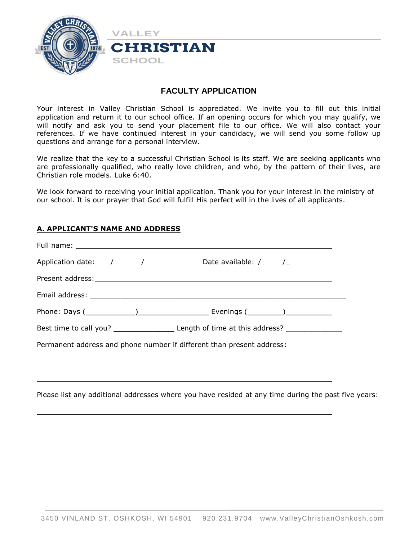

## **FACULTY APPLICATION**

Your interest in Valley Christian School is appreciated. We invite you to fill out this initial application and return it to our school office. If an opening occurs for which you may qualify, we will notify and ask you to send your placement file to our office. We will also contact your references. If we have continued interest in your candidacy, we will send you some follow up questions and arrange for a personal interview.

We realize that the key to a successful Christian School is its staff. We are seeking applicants who are professionally qualified, who really love children, and who, by the pattern of their lives, are Christian role models. Luke 6:40.

We look forward to receiving your initial application. Thank you for your interest in the ministry of our school. It is our prayer that God will fulfill His perfect will in the lives of all applicants.

### **A. APPLICANT'S NAME AND ADDRESS**

| Application date: $\frac{1}{\sqrt{2}}$ / $\frac{1}{\sqrt{2}}$ Date available: $\frac{1}{\sqrt{2}}$ |                                                                                                                      |  |
|----------------------------------------------------------------------------------------------------|----------------------------------------------------------------------------------------------------------------------|--|
|                                                                                                    |                                                                                                                      |  |
|                                                                                                    |                                                                                                                      |  |
|                                                                                                    |                                                                                                                      |  |
|                                                                                                    |                                                                                                                      |  |
| Permanent address and phone number if different than present address:                              |                                                                                                                      |  |
|                                                                                                    | <u> 2008 - Ann an Dùbhlachd ann an Dùbhlachd ann an Dùbhlachd ann an Dùbhlachd ann an Dùbhlachd ann an Dùbhlachd</u> |  |
|                                                                                                    |                                                                                                                      |  |
|                                                                                                    | Please list any additional addresses where you have resided at any time during the past five years:                  |  |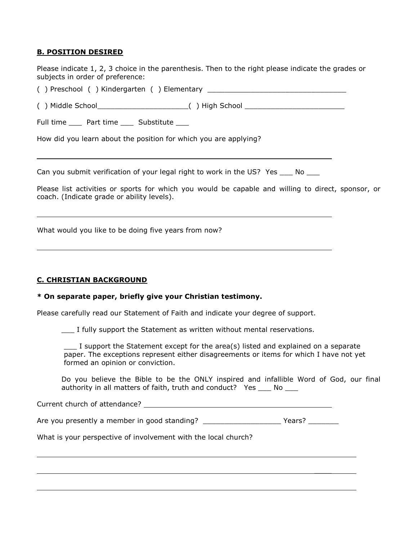### **B. POSITION DESIRED**

Please indicate 1, 2, 3 choice in the parenthesis. Then to the right please indicate the grades or subjects in order of preference:

( ) Preschool ( ) Kindergarten ( ) Elementary \_\_\_\_\_\_\_\_\_\_\_\_\_\_\_\_\_\_\_\_\_\_\_\_\_\_\_\_\_\_\_\_

( ) Middle School\_\_\_\_\_\_\_\_\_\_\_\_\_\_\_\_\_\_\_\_\_( ) High School \_\_\_\_\_\_\_\_\_\_\_\_\_\_\_\_\_\_\_\_\_\_\_

Full time \_\_\_\_ Part time \_\_\_\_ Substitute \_\_\_

How did you learn about the position for which you are applying?

Can you submit verification of your legal right to work in the US? Yes \_\_\_\_ No \_\_\_

Please list activities or sports for which you would be capable and willing to direct, sponsor, or coach. (Indicate grade or ability levels).

What would you like to be doing five years from now?

### **C. CHRISTIAN BACKGROUND**

### **\* On separate paper, briefly give your Christian testimony.**

Please carefully read our Statement of Faith and indicate your degree of support.

\_\_\_ I fully support the Statement as written without mental reservations.

\_\_\_ I support the Statement except for the area(s) listed and explained on a separate paper. The exceptions represent either disagreements or items for which I have not yet formed an opinion or conviction.

Do you believe the Bible to be the ONLY inspired and infallible Word of God, our final authority in all matters of faith, truth and conduct? Yes \_\_\_ No \_\_\_

 $\frac{1}{2}$ 

Current church of attendance?

Are you presently a member in good standing? \_\_\_\_\_\_\_\_\_\_\_\_\_\_\_\_\_\_\_\_\_\_\_\_\_\_Years?

What is your perspective of involvement with the local church?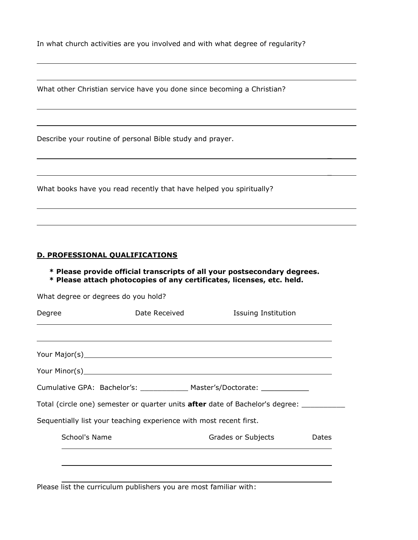In what church activities are you involved and with what degree of regularity?

What other Christian service have you done since becoming a Christian?

Describe your routine of personal Bible study and prayer.

What books have you read recently that have helped you spiritually?

### **D. PROFESSIONAL QUALIFICATIONS**

**\* Please provide official transcripts of all your postsecondary degrees. \* Please attach photocopies of any certificates, licenses, etc. held.**

 $\overline{a}$ 

 $\overline{a}$ 

| What degree or degrees do you hold? |                                                                    |                                                                                      |       |
|-------------------------------------|--------------------------------------------------------------------|--------------------------------------------------------------------------------------|-------|
| Degree                              | Date Received                                                      | <b>Issuing Institution</b>                                                           |       |
|                                     |                                                                    |                                                                                      |       |
|                                     |                                                                    |                                                                                      |       |
|                                     |                                                                    |                                                                                      |       |
|                                     |                                                                    | Cumulative GPA: Bachelor's: ______________ Master's/Doctorate: _________________     |       |
|                                     |                                                                    | Total (circle one) semester or quarter units <b>after</b> date of Bachelor's degree: |       |
|                                     | Sequentially list your teaching experience with most recent first. |                                                                                      |       |
| School's Name                       |                                                                    | Grades or Subjects                                                                   | Dates |
|                                     |                                                                    |                                                                                      |       |
|                                     |                                                                    |                                                                                      |       |

Please list the curriculum publishers you are most familiar with: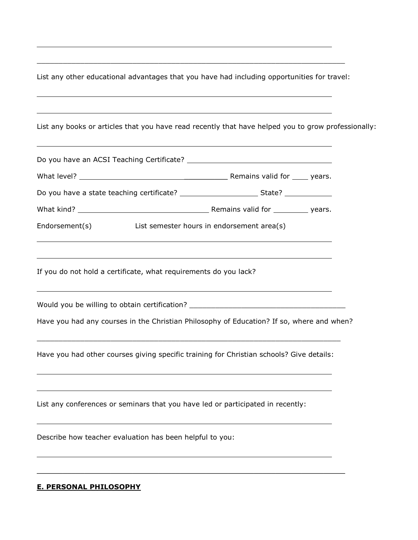List any other educational advantages that you have had including opportunities for travel:

 $\overline{\phantom{a}}$  , and the contribution of the contribution of the contribution of the contribution of the contribution of the contribution of the contribution of the contribution of the contribution of the contribution of the

| List any books or articles that you have read recently that have helped you to grow professionally:                                                                                       |  |
|-------------------------------------------------------------------------------------------------------------------------------------------------------------------------------------------|--|
| ,我们也不会有什么。""我们的人,我们也不会有什么?""我们的人,我们也不会有什么?""我们的人,我们也不会有什么?""我们的人,我们也不会有什么?""我们的人                                                                                                          |  |
|                                                                                                                                                                                           |  |
|                                                                                                                                                                                           |  |
|                                                                                                                                                                                           |  |
| Endorsement(s)<br>List semester hours in endorsement area(s)                                                                                                                              |  |
| <u> 1989 - Johann Stoff, deutscher Stoffen und der Stoffen und der Stoffen und der Stoffen und der Stoffen und de</u><br>If you do not hold a certificate, what requirements do you lack? |  |
| Would you be willing to obtain certification? __________________________________                                                                                                          |  |
| Have you had any courses in the Christian Philosophy of Education? If so, where and when?                                                                                                 |  |
| Have you had other courses giving specific training for Christian schools? Give details:                                                                                                  |  |
| ,我们也不会有一个人的人,我们也不会有一个人的人,我们也不会有一个人的人。""我们,我们也不会有一个人的人,我们也不会有一个人的人,我们也不会有一个人的人,我们<br>List any conferences or seminars that you have led or participated in recently:                       |  |
| Describe how teacher evaluation has been helpful to you:                                                                                                                                  |  |
|                                                                                                                                                                                           |  |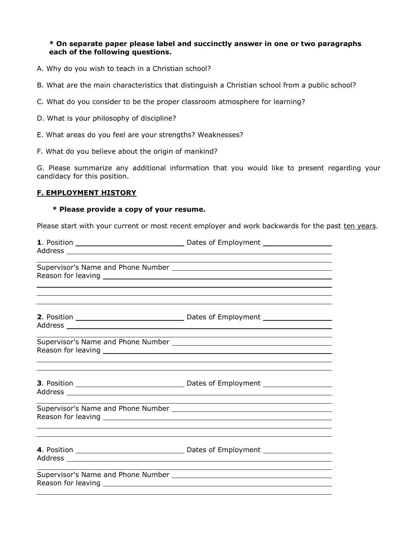### **\* On separate paper please label and succinctly answer in one or two paragraphs each of the following questions.**

- A. Why do you wish to teach in a Christian school?
- B. What are the main characteristics that distinguish a Christian school from a public school?
- C. What do you consider to be the proper classroom atmosphere for learning?
- D. What is your philosophy of discipline?
- E. What areas do you feel are your strengths? Weaknesses?
- F. What do you believe about the origin of mankind?

G. Please summarize any additional information that you would like to present regarding your candidacy for this position.

#### **F. EMPLOYMENT HISTORY**

#### **\* Please provide a copy of your resume.**

Please start with your current or most recent employer and work backwards for the past ten years.

|  | <u> 1989 - Johann John Stone, Amerikaansk politiker († 1908)</u>                                                                                                                                          |  |  |
|--|-----------------------------------------------------------------------------------------------------------------------------------------------------------------------------------------------------------|--|--|
|  |                                                                                                                                                                                                           |  |  |
|  |                                                                                                                                                                                                           |  |  |
|  |                                                                                                                                                                                                           |  |  |
|  | <u> 1999 - Johann Harry Harry Harry Harry Harry Harry Harry Harry Harry Harry Harry Harry Harry Harry Harry Harry</u><br>,我们也不会有什么。""我们的人,我们也不会有什么?""我们的人,我们也不会有什么?""我们的人,我们也不会有什么?""我们的人,我们也不会有什么?""我们的人 |  |  |
|  |                                                                                                                                                                                                           |  |  |
|  |                                                                                                                                                                                                           |  |  |
|  |                                                                                                                                                                                                           |  |  |
|  |                                                                                                                                                                                                           |  |  |
|  |                                                                                                                                                                                                           |  |  |
|  |                                                                                                                                                                                                           |  |  |
|  |                                                                                                                                                                                                           |  |  |
|  |                                                                                                                                                                                                           |  |  |
|  |                                                                                                                                                                                                           |  |  |
|  |                                                                                                                                                                                                           |  |  |
|  |                                                                                                                                                                                                           |  |  |
|  |                                                                                                                                                                                                           |  |  |
|  | ,我们也不会有什么?""我们的人,我们也不会有什么?""我们的人,我们也不会有什么?""我们的人,我们也不会有什么?""我们的人,我们也不会有什么?""我们的人                                                                                                                          |  |  |
|  |                                                                                                                                                                                                           |  |  |
|  |                                                                                                                                                                                                           |  |  |
|  |                                                                                                                                                                                                           |  |  |
|  |                                                                                                                                                                                                           |  |  |
|  |                                                                                                                                                                                                           |  |  |
|  |                                                                                                                                                                                                           |  |  |
|  |                                                                                                                                                                                                           |  |  |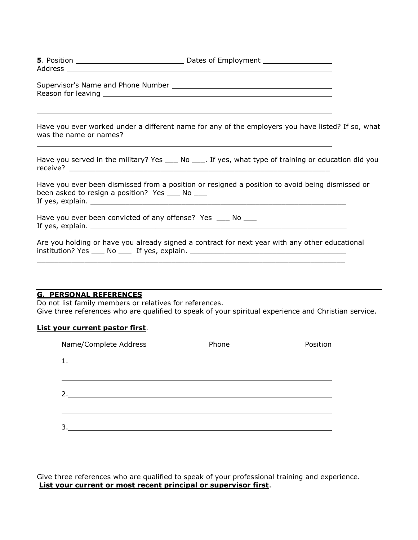| <b>5</b> . Position | Dates of Employment |
|---------------------|---------------------|
| Address             |                     |

Supervisor's Name and Phone Number Reason for leaving

Have you ever worked under a different name for any of the employers you have listed? If so, what was the name or names?

|          | Have you served in the military? Yes _____ No _____. If yes, what type of training or education did you |
|----------|---------------------------------------------------------------------------------------------------------|
| receive? |                                                                                                         |

Have you ever been dismissed from a position or resigned a position to avoid being dismissed or been asked to resign a position? Yes \_\_\_ No \_\_\_ If yes, explain.

Have you ever been convicted of any offense? Yes \_\_\_ No \_\_\_ If yes, explain. \_\_\_\_\_\_\_\_\_\_\_\_\_\_\_\_\_\_\_\_\_\_\_\_\_\_\_\_\_\_\_\_\_\_\_\_\_\_\_\_\_\_\_\_\_\_\_\_\_\_\_\_\_\_\_\_\_\_\_

Are you holding or have you already signed a contract for next year with any other educational institution? Yes \_\_\_\_ No \_\_\_\_ If yes, explain. \_\_\_\_\_\_\_\_\_\_\_\_\_\_\_\_\_\_\_\_\_\_\_\_\_\_\_\_\_\_\_\_\_

 $\_$  ,  $\_$  ,  $\_$  ,  $\_$  ,  $\_$  ,  $\_$  ,  $\_$  ,  $\_$  ,  $\_$  ,  $\_$  ,  $\_$  ,  $\_$  ,  $\_$  ,  $\_$  ,  $\_$  ,  $\_$  ,  $\_$  ,  $\_$  ,  $\_$  ,  $\_$  ,  $\_$  ,  $\_$  ,  $\_$  ,  $\_$  ,  $\_$  ,  $\_$  ,  $\_$  ,  $\_$  ,  $\_$  ,  $\_$  ,  $\_$  ,  $\_$  ,  $\_$  ,  $\_$  ,  $\_$  ,  $\_$  ,  $\_$  ,

### **G. PERSONAL REFERENCES**

Do not list family members or relatives for references. Give three references who are qualified to speak of your spiritual experience and Christian service.

### **List your current pastor first**.

| Name/Complete Address | Phone | Position |
|-----------------------|-------|----------|
|                       |       |          |
|                       |       |          |
| 2.                    |       |          |
|                       |       |          |
|                       |       |          |
|                       |       |          |
|                       |       |          |

Give three references who are qualified to speak of your professional training and experience. **List your current or most recent principal or supervisor first**.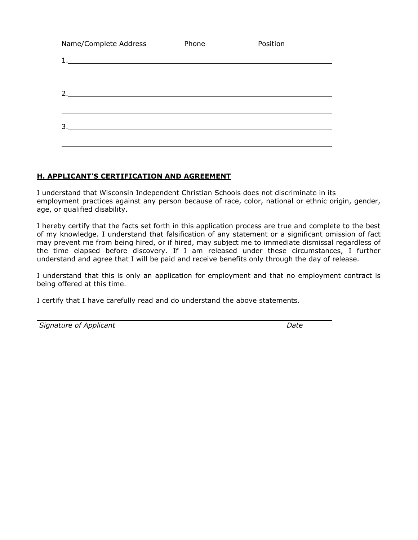| Name/Complete Address                                            | Phone | Position |
|------------------------------------------------------------------|-------|----------|
| 1.<br><u> 1989 - Johann Barn, amerikansk politiker (d. 1989)</u> |       |          |
|                                                                  |       |          |
| 2.                                                               |       |          |
|                                                                  |       |          |
| 3.                                                               |       |          |
|                                                                  |       |          |

### **H. APPLICANT'S CERTIFICATION AND AGREEMENT**

I understand that Wisconsin Independent Christian Schools does not discriminate in its employment practices against any person because of race, color, national or ethnic origin, gender, age, or qualified disability.

I hereby certify that the facts set forth in this application process are true and complete to the best of my knowledge. I understand that falsification of any statement or a significant omission of fact may prevent me from being hired, or if hired, may subject me to immediate dismissal regardless of the time elapsed before discovery. If I am released under these circumstances, I further understand and agree that I will be paid and receive benefits only through the day of release.

I understand that this is only an application for employment and that no employment contract is being offered at this time.

I certify that I have carefully read and do understand the above statements.

**Signature of Applicant Community Community Community Community Community Community Community Community Community**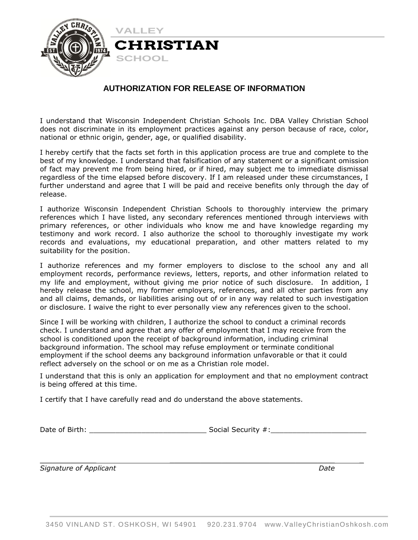

### **AUTHORIZATION FOR RELEASE OF INFORMATION**

I understand that Wisconsin Independent Christian Schools Inc. DBA Valley Christian School does not discriminate in its employment practices against any person because of race, color, national or ethnic origin, gender, age, or qualified disability.

I hereby certify that the facts set forth in this application process are true and complete to the best of my knowledge. I understand that falsification of any statement or a significant omission of fact may prevent me from being hired, or if hired, may subject me to immediate dismissal regardless of the time elapsed before discovery. If I am released under these circumstances, I further understand and agree that I will be paid and receive benefits only through the day of release.

I authorize Wisconsin Independent Christian Schools to thoroughly interview the primary references which I have listed, any secondary references mentioned through interviews with primary references, or other individuals who know me and have knowledge regarding my testimony and work record. I also authorize the school to thoroughly investigate my work records and evaluations, my educational preparation, and other matters related to my suitability for the position.

I authorize references and my former employers to disclose to the school any and all employment records, performance reviews, letters, reports, and other information related to my life and employment, without giving me prior notice of such disclosure. In addition, I hereby release the school, my former employers, references, and all other parties from any and all claims, demands, or liabilities arising out of or in any way related to such investigation or disclosure. I waive the right to ever personally view any references given to the school.

Since I will be working with children, I authorize the school to conduct a criminal records check. I understand and agree that any offer of employment that I may receive from the school is conditioned upon the receipt of background information, including criminal background information. The school may refuse employment or terminate conditional employment if the school deems any background information unfavorable or that it could reflect adversely on the school or on me as a Christian role model.

I understand that this is only an application for employment and that no employment contract is being offered at this time.

 $\mathcal{L}_\text{max}$  , and the contract of the contract of the contract of the contract of the contract of the contract of the contract of the contract of the contract of the contract of the contract of the contract of the contr

I certify that I have carefully read and do understand the above statements.

Date of Birth: etc. and the security security  $\#$ :

*Signature of Applicant Date*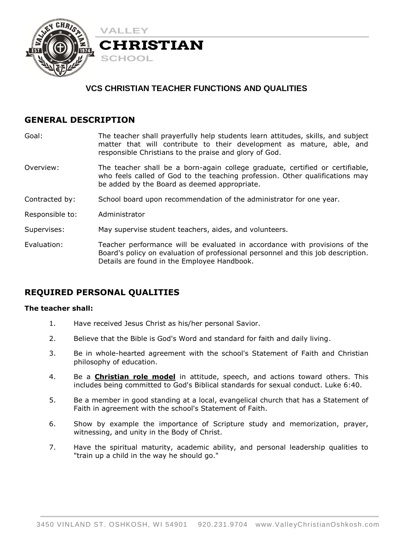

# **VCS CHRISTIAN TEACHER FUNCTIONS AND QUALITIES**

## **GENERAL DESCRIPTION**

- Goal: The teacher shall prayerfully help students learn attitudes, skills, and subject matter that will contribute to their development as mature, able, and responsible Christians to the praise and glory of God.
- Overview: The teacher shall be a born-again college graduate, certified or certifiable, who feels called of God to the teaching profession. Other qualifications may be added by the Board as deemed appropriate.
- Contracted by: School board upon recommendation of the administrator for one year.
- Responsible to: Administrator

Supervises: May supervise student teachers, aides, and volunteers.

Evaluation: Teacher performance will be evaluated in accordance with provisions of the Board's policy on evaluation of professional personnel and this job description. Details are found in the Employee Handbook.

## **REQUIRED PERSONAL QUALITIES**

### **The teacher shall:**

- 1. Have received Jesus Christ as his/her personal Savior.
- 2. Believe that the Bible is God's Word and standard for faith and daily living.
- 3. Be in whole-hearted agreement with the school's Statement of Faith and Christian philosophy of education.
- 4. Be a **Christian role model** in attitude, speech, and actions toward others. This includes being committed to God's Biblical standards for sexual conduct. Luke 6:40.
- 5. Be a member in good standing at a local, evangelical church that has a Statement of Faith in agreement with the school's Statement of Faith.
- 6. Show by example the importance of Scripture study and memorization, prayer, witnessing, and unity in the Body of Christ.
- 7. Have the spiritual maturity, academic ability, and personal leadership qualities to "train up a child in the way he should go."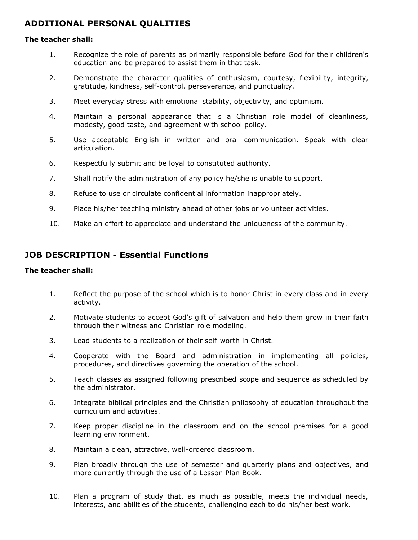# **ADDITIONAL PERSONAL QUALITIES**

### **The teacher shall:**

- 1. Recognize the role of parents as primarily responsible before God for their children's education and be prepared to assist them in that task.
- 2. Demonstrate the character qualities of enthusiasm, courtesy, flexibility, integrity, gratitude, kindness, self-control, perseverance, and punctuality.
- 3. Meet everyday stress with emotional stability, objectivity, and optimism.
- 4. Maintain a personal appearance that is a Christian role model of cleanliness, modesty, good taste, and agreement with school policy.
- 5. Use acceptable English in written and oral communication. Speak with clear articulation.
- 6. Respectfully submit and be loyal to constituted authority.
- 7. Shall notify the administration of any policy he/she is unable to support.
- 8. Refuse to use or circulate confidential information inappropriately.
- 9. Place his/her teaching ministry ahead of other jobs or volunteer activities.
- 10. Make an effort to appreciate and understand the uniqueness of the community.

## **JOB DESCRIPTION - Essential Functions**

### **The teacher shall:**

- 1. Reflect the purpose of the school which is to honor Christ in every class and in every activity.
- 2. Motivate students to accept God's gift of salvation and help them grow in their faith through their witness and Christian role modeling.
- 3. Lead students to a realization of their self-worth in Christ.
- 4. Cooperate with the Board and administration in implementing all policies, procedures, and directives governing the operation of the school.
- 5. Teach classes as assigned following prescribed scope and sequence as scheduled by the administrator.
- 6. Integrate biblical principles and the Christian philosophy of education throughout the curriculum and activities.
- 7. Keep proper discipline in the classroom and on the school premises for a good learning environment.
- 8. Maintain a clean, attractive, well-ordered classroom.
- 9. Plan broadly through the use of semester and quarterly plans and objectives, and more currently through the use of a Lesson Plan Book.
- 10. Plan a program of study that, as much as possible, meets the individual needs, interests, and abilities of the students, challenging each to do his/her best work.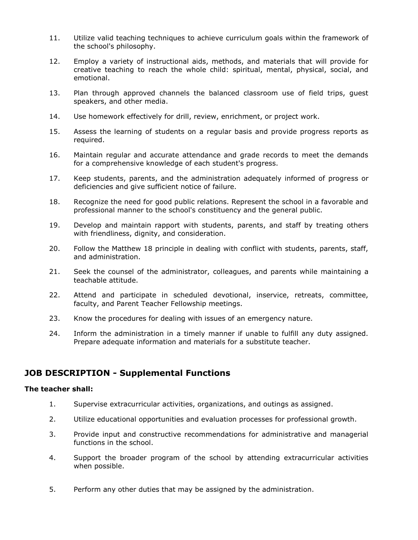- 11. Utilize valid teaching techniques to achieve curriculum goals within the framework of the school's philosophy.
- 12. Employ a variety of instructional aids, methods, and materials that will provide for creative teaching to reach the whole child: spiritual, mental, physical, social, and emotional.
- 13. Plan through approved channels the balanced classroom use of field trips, guest speakers, and other media.
- 14. Use homework effectively for drill, review, enrichment, or project work.
- 15. Assess the learning of students on a regular basis and provide progress reports as required.
- 16. Maintain regular and accurate attendance and grade records to meet the demands for a comprehensive knowledge of each student's progress.
- 17. Keep students, parents, and the administration adequately informed of progress or deficiencies and give sufficient notice of failure.
- 18. Recognize the need for good public relations. Represent the school in a favorable and professional manner to the school's constituency and the general public.
- 19. Develop and maintain rapport with students, parents, and staff by treating others with friendliness, dignity, and consideration.
- 20. Follow the Matthew 18 principle in dealing with conflict with students, parents, staff, and administration.
- 21. Seek the counsel of the administrator, colleagues, and parents while maintaining a teachable attitude.
- 22. Attend and participate in scheduled devotional, inservice, retreats, committee, faculty, and Parent Teacher Fellowship meetings.
- 23. Know the procedures for dealing with issues of an emergency nature.
- 24. Inform the administration in a timely manner if unable to fulfill any duty assigned. Prepare adequate information and materials for a substitute teacher.

## **JOB DESCRIPTION - Supplemental Functions**

#### **The teacher shall:**

- 1. Supervise extracurricular activities, organizations, and outings as assigned.
- 2. Utilize educational opportunities and evaluation processes for professional growth.
- 3. Provide input and constructive recommendations for administrative and managerial functions in the school.
- 4. Support the broader program of the school by attending extracurricular activities when possible.
- 5. Perform any other duties that may be assigned by the administration.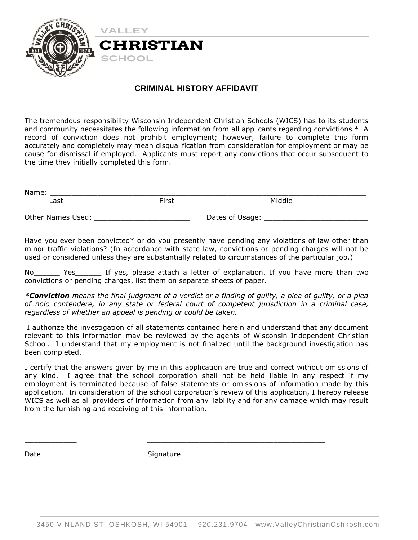

### **CRIMINAL HISTORY AFFIDAVIT**

The tremendous responsibility Wisconsin Independent Christian Schools (WICS) has to its students and community necessitates the following information from all applicants regarding convictions.\* A record of conviction does not prohibit employment; however, failure to complete this form accurately and completely may mean disqualification from consideration for employment or may be cause for dismissal if employed. Applicants must report any convictions that occur subsequent to the time they initially completed this form.

| Name:             |       |                 |  |
|-------------------|-------|-----------------|--|
| ∟ast              | First | Middle          |  |
| Other Names Used: |       | Dates of Usage: |  |

Have you ever been convicted\* or do you presently have pending any violations of law other than minor traffic violations? (In accordance with state law, convictions or pending charges will not be used or considered unless they are substantially related to circumstances of the particular job.)

Yes The Yes, please attach a letter of explanation. If you have more than two convictions or pending charges, list them on separate sheets of paper.

*\*Conviction means the final judgment of a verdict or a finding of guilty, a plea of guilty, or a plea of nolo contendere, in any state or federal court of competent jurisdiction in a criminal case, regardless of whether an appeal is pending or could be taken.*

I authorize the investigation of all statements contained herein and understand that any document relevant to this information may be reviewed by the agents of Wisconsin Independent Christian School. I understand that my employment is not finalized until the background investigation has been completed.

I certify that the answers given by me in this application are true and correct without omissions of any kind. I agree that the school corporation shall not be held liable in any respect if my employment is terminated because of false statements or omissions of information made by this application. In consideration of the school corporation's review of this application, I hereby release WICS as well as all providers of information from any liability and for any damage which may result from the furnishing and receiving of this information.

Date Signature

 $\_$  ,  $\_$  ,  $\_$  ,  $\_$  ,  $\_$  ,  $\_$  ,  $\_$  ,  $\_$  ,  $\_$  ,  $\_$  ,  $\_$  ,  $\_$  ,  $\_$  ,  $\_$  ,  $\_$  ,  $\_$  ,  $\_$  ,  $\_$  ,  $\_$  ,  $\_$  ,  $\_$  ,  $\_$  ,  $\_$  ,  $\_$  ,  $\_$  ,  $\_$  ,  $\_$  ,  $\_$  ,  $\_$  ,  $\_$  ,  $\_$  ,  $\_$  ,  $\_$  ,  $\_$  ,  $\_$  ,  $\_$  ,  $\_$  ,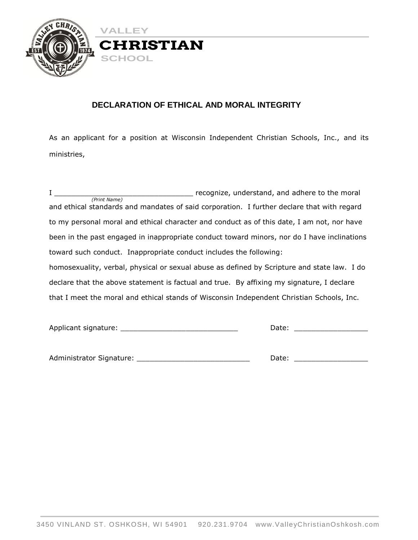

# **DECLARATION OF ETHICAL AND MORAL INTEGRITY**

As an applicant for a position at Wisconsin Independent Christian Schools, Inc., and its ministries,

| $\mathbf{I}$ |                                                                                             | recognize, understand, and adhere to the moral |  |
|--------------|---------------------------------------------------------------------------------------------|------------------------------------------------|--|
| (Print Name) | and ethical standards and mandates of said corporation. I further declare that with regard  |                                                |  |
|              |                                                                                             |                                                |  |
|              | to my personal moral and ethical character and conduct as of this date, I am not, nor have  |                                                |  |
|              | been in the past engaged in inappropriate conduct toward minors, nor do I have inclinations |                                                |  |
|              | toward such conduct. Inappropriate conduct includes the following:                          |                                                |  |
|              | homosexuality, verbal, physical or sexual abuse as defined by Scripture and state law. I do |                                                |  |
|              | declare that the above statement is factual and true. By affixing my signature, I declare   |                                                |  |
|              | that I meet the moral and ethical stands of Wisconsin Independent Christian Schools, Inc.   |                                                |  |
|              |                                                                                             |                                                |  |

| Applicant signature: |  |
|----------------------|--|
|                      |  |

Administrator Signature: \_\_\_\_\_\_\_\_\_\_\_\_\_\_\_\_\_\_\_\_\_\_\_\_\_\_ Date: \_\_\_\_\_\_\_\_\_\_\_\_\_\_\_\_\_